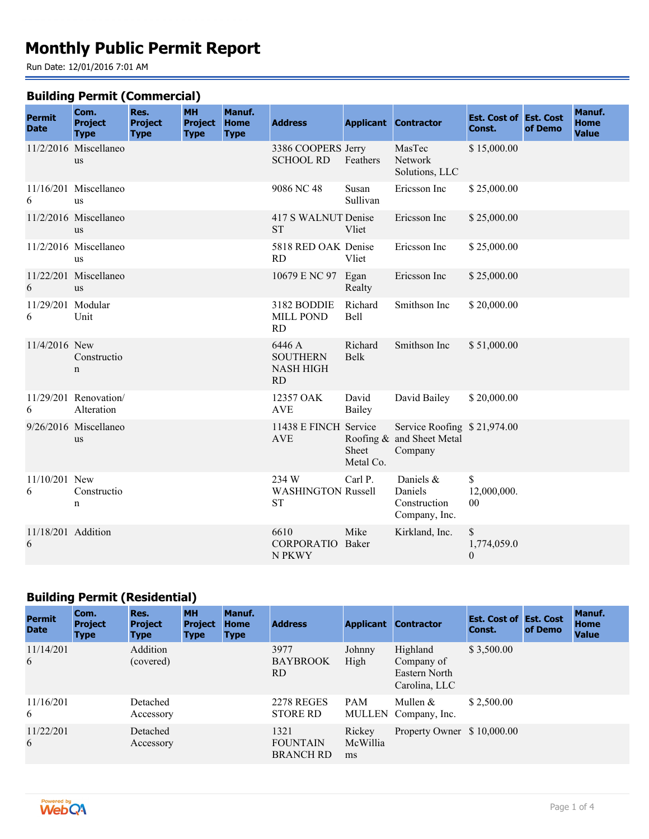# **Monthly Public Permit Report**

Run Date: 12/01/2016 7:01 AM

### **Building Permit (Commercial)**

| <b>Permit</b><br><b>Date</b> | Com.<br><b>Project</b><br><b>Type</b> | Res.<br><b>Project</b><br><b>Type</b> | <b>MH</b><br><b>Project</b><br><b>Type</b> | Manuf.<br><b>Home</b><br><b>Type</b> | <b>Address</b>                                      |                    | <b>Applicant Contractor</b>                                         | <b>Est. Cost of Est. Cost</b><br>Const. | of Demo | Manuf.<br><b>Home</b><br><b>Value</b> |
|------------------------------|---------------------------------------|---------------------------------------|--------------------------------------------|--------------------------------------|-----------------------------------------------------|--------------------|---------------------------------------------------------------------|-----------------------------------------|---------|---------------------------------------|
|                              | 11/2/2016 Miscellaneo<br>us           |                                       |                                            |                                      | 3386 COOPERS Jerry<br><b>SCHOOL RD</b>              | Feathers           | MasTec<br>Network<br>Solutions, LLC                                 | \$15,000.00                             |         |                                       |
| 6                            | 11/16/201 Miscellaneo<br>us           |                                       |                                            |                                      | 9086 NC 48                                          | Susan<br>Sullivan  | Ericsson Inc                                                        | \$25,000.00                             |         |                                       |
|                              | $11/2/2016$ Miscellaneo<br><b>us</b>  |                                       |                                            |                                      | 417 S WALNUT Denise<br><b>ST</b>                    | Vliet              | Ericsson Inc                                                        | \$25,000.00                             |         |                                       |
|                              | 11/2/2016 Miscellaneo<br>us           |                                       |                                            |                                      | 5818 RED OAK Denise<br>RD                           | Vliet              | Ericsson Inc                                                        | \$25,000.00                             |         |                                       |
| 6                            | 11/22/201 Miscellaneo<br><b>us</b>    |                                       |                                            |                                      | 10679 E NC 97                                       | Egan<br>Realty     | Ericsson Inc                                                        | \$25,000.00                             |         |                                       |
| 11/29/201 Modular<br>6       | Unit                                  |                                       |                                            |                                      | 3182 BODDIE<br><b>MILL POND</b><br><b>RD</b>        | Richard<br>Bell    | Smithson Inc                                                        | \$20,000.00                             |         |                                       |
| 11/4/2016 New                | Constructio<br>n                      |                                       |                                            |                                      | 6446 A<br><b>SOUTHERN</b><br><b>NASH HIGH</b><br>RD | Richard<br>Belk    | Smithson Inc                                                        | \$51,000.00                             |         |                                       |
| 6                            | 11/29/201 Renovation/<br>Alteration   |                                       |                                            |                                      | 12357 OAK<br><b>AVE</b>                             | David<br>Bailey    | David Bailey                                                        | \$20,000.00                             |         |                                       |
|                              | 9/26/2016 Miscellaneo<br><b>us</b>    |                                       |                                            |                                      | 11438 E FINCH Service<br><b>AVE</b>                 | Sheet<br>Metal Co. | Service Roofing \$21,974.00<br>Roofing & and Sheet Metal<br>Company |                                         |         |                                       |
| 11/10/201 New<br>6           | Constructio<br>n                      |                                       |                                            |                                      | 234 W<br><b>WASHINGTON Russell</b><br><b>ST</b>     | Carl P.            | Daniels &<br>Daniels<br>Construction<br>Company, Inc.               | \$<br>12,000,000.<br>$00\,$             |         |                                       |
| 11/18/201 Addition<br>6      |                                       |                                       |                                            |                                      | 6610<br><b>CORPORATIO</b><br>N PKWY                 | Mike<br>Baker      | Kirkland, Inc.                                                      | \$<br>1,774,059.0<br>$\boldsymbol{0}$   |         |                                       |

## **Building Permit (Residential)**

| <b>Permit</b><br><b>Date</b> | Com.<br><b>Project</b><br><b>Type</b> | Res.<br><b>Project</b><br><b>Type</b> | <b>MH</b><br><b>Project</b><br><b>Type</b> | Manuf.<br><b>Home</b><br><b>Type</b> | <b>Address</b>                              |                          | <b>Applicant Contractor</b>                              | <b>Est. Cost of Est. Cost</b><br>Const. | of Demo | Manuf.<br><b>Home</b><br><b>Value</b> |
|------------------------------|---------------------------------------|---------------------------------------|--------------------------------------------|--------------------------------------|---------------------------------------------|--------------------------|----------------------------------------------------------|-----------------------------------------|---------|---------------------------------------|
| 11/14/201<br>6               |                                       | Addition<br>(covered)                 |                                            |                                      | 3977<br><b>BAYBROOK</b><br>RD.              | Johnny<br>High           | Highland<br>Company of<br>Eastern North<br>Carolina, LLC | \$3,500.00                              |         |                                       |
| 11/16/201<br>6               |                                       | Detached<br>Accessory                 |                                            |                                      | <b>2278 REGES</b><br><b>STORE RD</b>        | <b>PAM</b>               | Mullen $&$<br>MULLEN Company, Inc.                       | \$2,500.00                              |         |                                       |
| 11/22/201<br>6               |                                       | Detached<br>Accessory                 |                                            |                                      | 1321<br><b>FOUNTAIN</b><br><b>BRANCH RD</b> | Rickey<br>McWillia<br>ms | Property Owner \$10,000.00                               |                                         |         |                                       |

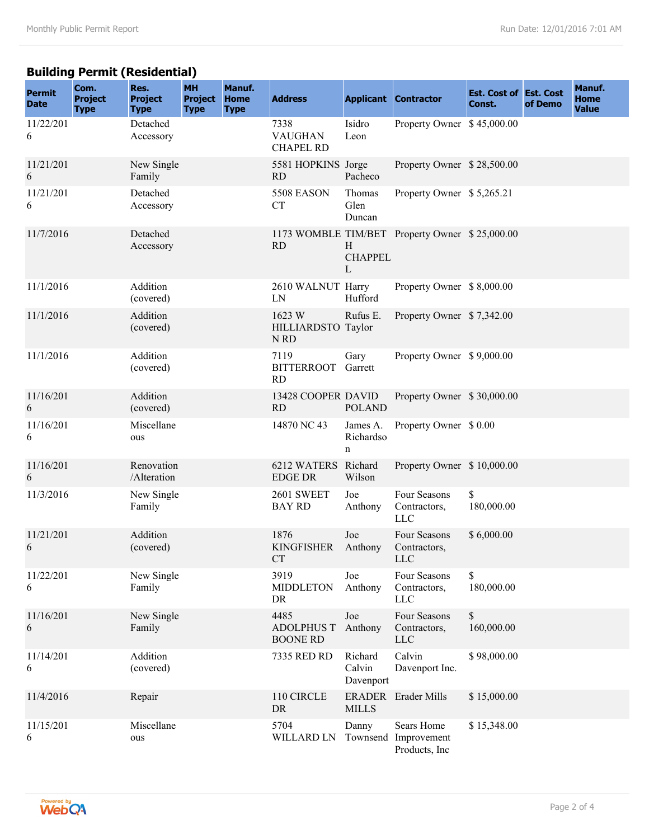## **Building Permit (Residential)**

| <b>Permit</b><br><b>Date</b> | Com.<br><b>Project</b><br><b>Type</b> | Res.<br><b>Project</b><br><b>Type</b> | <b>MH</b><br><b>Project</b><br><b>Type</b> | Manuf.<br><b>Home</b><br><b>Type</b> | <b>Address</b>                                  |                                | <b>Applicant Contractor</b>                    | <b>Est. Cost of Est. Cost</b><br>Const. | of Demo | Manuf.<br><b>Home</b><br><b>Value</b> |
|------------------------------|---------------------------------------|---------------------------------------|--------------------------------------------|--------------------------------------|-------------------------------------------------|--------------------------------|------------------------------------------------|-----------------------------------------|---------|---------------------------------------|
| 11/22/201<br>6               |                                       | Detached<br>Accessory                 |                                            |                                      | 7338<br><b>VAUGHAN</b><br><b>CHAPEL RD</b>      | Isidro<br>Leon                 | Property Owner \$45,000.00                     |                                         |         |                                       |
| 11/21/201<br>6               |                                       | New Single<br>Family                  |                                            |                                      | 5581 HOPKINS Jorge<br><b>RD</b>                 | Pacheco                        | Property Owner \$28,500.00                     |                                         |         |                                       |
| 11/21/201<br>6               |                                       | Detached<br>Accessory                 |                                            |                                      | <b>5508 EASON</b><br>CT                         | Thomas<br>Glen<br>Duncan       | Property Owner \$5,265.21                      |                                         |         |                                       |
| 11/7/2016                    |                                       | Detached<br>Accessory                 |                                            |                                      | <b>RD</b>                                       | H<br><b>CHAPPEL</b><br>L       | 1173 WOMBLE TIM/BET Property Owner \$25,000.00 |                                         |         |                                       |
| 11/1/2016                    |                                       | Addition<br>(covered)                 |                                            |                                      | 2610 WALNUT Harry<br>LN                         | Hufford                        | Property Owner \$8,000.00                      |                                         |         |                                       |
| 11/1/2016                    |                                       | Addition<br>(covered)                 |                                            |                                      | 1623 W<br>HILLIARDSTO Taylor<br>N <sub>RD</sub> | Rufus E.                       | Property Owner \$7,342.00                      |                                         |         |                                       |
| 11/1/2016                    |                                       | Addition<br>(covered)                 |                                            |                                      | 7119<br><b>BITTERROOT</b><br><b>RD</b>          | Gary<br>Garrett                | Property Owner \$9,000.00                      |                                         |         |                                       |
| 11/16/201<br>6               |                                       | Addition<br>(covered)                 |                                            |                                      | 13428 COOPER DAVID<br><b>RD</b>                 | <b>POLAND</b>                  | Property Owner \$30,000.00                     |                                         |         |                                       |
| 11/16/201<br>6               |                                       | Miscellane<br>ous                     |                                            |                                      | 14870 NC 43                                     | James A.<br>Richardso<br>n     | Property Owner \$ 0.00                         |                                         |         |                                       |
| 11/16/201<br>6               |                                       | Renovation<br>/Alteration             |                                            |                                      | 6212 WATERS Richard<br><b>EDGE DR</b>           | Wilson                         | Property Owner \$10,000.00                     |                                         |         |                                       |
| 11/3/2016                    |                                       | New Single<br>Family                  |                                            |                                      | 2601 SWEET<br><b>BAY RD</b>                     | Joe<br>Anthony                 | Four Seasons<br>Contractors,<br><b>LLC</b>     | \$<br>180,000.00                        |         |                                       |
| 11/21/201<br>6               |                                       | Addition<br>(covered)                 |                                            |                                      | 1876<br><b>KINGFISHER</b><br>СI                 | Joe<br>Anthony                 | Four Seasons<br>Contractors,<br><b>LLC</b>     | \$6,000.00                              |         |                                       |
| 11/22/201<br>6               |                                       | New Single<br>Family                  |                                            |                                      | 3919<br><b>MIDDLETON</b><br>DR                  | Joe<br>Anthony                 | Four Seasons<br>Contractors,<br><b>LLC</b>     | \$<br>180,000.00                        |         |                                       |
| 11/16/201<br>6               |                                       | New Single<br>Family                  |                                            |                                      | 4485<br><b>ADOLPHUS T</b><br><b>BOONE RD</b>    | Joe<br>Anthony                 | Four Seasons<br>Contractors,<br><b>LLC</b>     | $\mathbb S$<br>160,000.00               |         |                                       |
| 11/14/201<br>6               |                                       | Addition<br>(covered)                 |                                            |                                      | 7335 RED RD                                     | Richard<br>Calvin<br>Davenport | Calvin<br>Davenport Inc.                       | \$98,000.00                             |         |                                       |
| 11/4/2016                    |                                       | Repair                                |                                            |                                      | 110 CIRCLE<br>DR                                | <b>MILLS</b>                   | ERADER Erader Mills                            | \$15,000.00                             |         |                                       |
| 11/15/201<br>6               |                                       | Miscellane<br>ous                     |                                            |                                      | 5704<br>WILLARD LN                              | Danny<br>Townsend              | Sears Home<br>Improvement<br>Products, Inc.    | \$15,348.00                             |         |                                       |

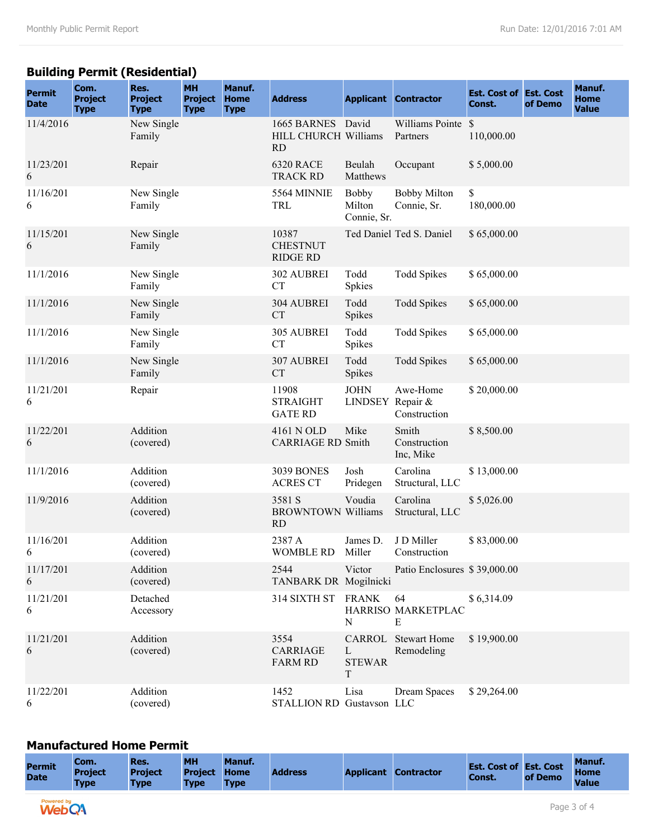## **Building Permit (Residential)**

| <b>Permit</b><br><b>Date</b> | Com.<br><b>Project</b><br><b>Type</b> | Res.<br><b>Project</b><br><b>Type</b> | <b>MH</b><br><b>Project</b><br><b>Type</b> | Manuf.<br><b>Home</b><br><b>Type</b> | <b>Address</b>                                         |                                       | <b>Applicant Contractor</b>              | <b>Est. Cost of Est. Cost</b><br>Const. | of Demo | Manuf.<br><b>Home</b><br><b>Value</b> |
|------------------------------|---------------------------------------|---------------------------------------|--------------------------------------------|--------------------------------------|--------------------------------------------------------|---------------------------------------|------------------------------------------|-----------------------------------------|---------|---------------------------------------|
| 11/4/2016                    |                                       | New Single<br>Family                  |                                            |                                      | 1665 BARNES David<br>HILL CHURCH Williams<br><b>RD</b> |                                       | Williams Pointe \$<br>Partners           | 110,000.00                              |         |                                       |
| 11/23/201<br>6               |                                       | Repair                                |                                            |                                      | <b>6320 RACE</b><br><b>TRACK RD</b>                    | Beulah<br>Matthews                    | Occupant                                 | \$5,000.00                              |         |                                       |
| 11/16/201<br>6               |                                       | New Single<br>Family                  |                                            |                                      | 5564 MINNIE<br><b>TRL</b>                              | <b>Bobby</b><br>Milton<br>Connie, Sr. | <b>Bobby Milton</b><br>Connie, Sr.       | \$<br>180,000.00                        |         |                                       |
| 11/15/201<br>6               |                                       | New Single<br>Family                  |                                            |                                      | 10387<br><b>CHESTNUT</b><br><b>RIDGE RD</b>            |                                       | Ted Daniel Ted S. Daniel                 | \$65,000.00                             |         |                                       |
| 11/1/2016                    |                                       | New Single<br>Family                  |                                            |                                      | 302 AUBREI<br><b>CT</b>                                | Todd<br>Spkies                        | <b>Todd Spikes</b>                       | \$65,000.00                             |         |                                       |
| 11/1/2016                    |                                       | New Single<br>Family                  |                                            |                                      | 304 AUBREI<br><b>CT</b>                                | Todd<br>Spikes                        | <b>Todd Spikes</b>                       | \$65,000.00                             |         |                                       |
| 11/1/2016                    |                                       | New Single<br>Family                  |                                            |                                      | 305 AUBREI<br><b>CT</b>                                | Todd<br>Spikes                        | <b>Todd Spikes</b>                       | \$65,000.00                             |         |                                       |
| 11/1/2016                    |                                       | New Single<br>Family                  |                                            |                                      | 307 AUBREI<br><b>CT</b>                                | Todd<br>Spikes                        | <b>Todd Spikes</b>                       | \$65,000.00                             |         |                                       |
| 11/21/201<br>6               |                                       | Repair                                |                                            |                                      | 11908<br><b>STRAIGHT</b><br><b>GATE RD</b>             | <b>JOHN</b><br>LINDSEY Repair &       | Awe-Home<br>Construction                 | \$20,000.00                             |         |                                       |
| 11/22/201<br>6               |                                       | Addition<br>(covered)                 |                                            |                                      | 4161 N OLD<br><b>CARRIAGE RD Smith</b>                 | Mike                                  | Smith<br>Construction<br>Inc, Mike       | \$8,500.00                              |         |                                       |
| 11/1/2016                    |                                       | Addition<br>(covered)                 |                                            |                                      | <b>3039 BONES</b><br><b>ACRES CT</b>                   | Josh<br>Pridegen                      | Carolina<br>Structural, LLC              | \$13,000.00                             |         |                                       |
| 11/9/2016                    |                                       | Addition<br>(covered)                 |                                            |                                      | 3581 S<br><b>BROWNTOWN Williams</b><br>RD              | Voudia                                | Carolina<br>Structural, LLC              | \$5,026.00                              |         |                                       |
| 11/16/201<br>6               |                                       | Addition<br>(covered)                 |                                            |                                      | 2387 A<br>WOMBLE RD                                    | James D.<br>Miller                    | J D Miller<br>Construction               | \$83,000.00                             |         |                                       |
| 11/17/201<br>6               |                                       | Addition<br>(covered)                 |                                            |                                      | 2544<br>TANBARK DR Mogilnicki                          | Victor                                | Patio Enclosures \$39,000.00             |                                         |         |                                       |
| 11/21/201<br>6               |                                       | Detached<br>Accessory                 |                                            |                                      | 314 SIXTH ST FRANK                                     | N                                     | 64<br>HARRISO MARKETPLAC<br>Е            | \$6,314.09                              |         |                                       |
| 11/21/201<br>6               |                                       | Addition<br>(covered)                 |                                            |                                      | 3554<br>CARRIAGE<br><b>FARM RD</b>                     | L<br><b>STEWAR</b><br>T               | <b>CARROL</b> Stewart Home<br>Remodeling | \$19,900.00                             |         |                                       |
| 11/22/201<br>6               |                                       | Addition<br>(covered)                 |                                            |                                      | 1452<br>STALLION RD Gustavson LLC                      | Lisa                                  | Dream Spaces                             | \$29,264.00                             |         |                                       |

### **Manufactured Home Permit**

| <b>Permit</b><br><b>Date</b> | Com.<br><b>Project</b><br><b>Type</b> | Res.<br><b>Project</b><br>Type | <b>MH</b><br><b>Project Home</b><br><b>Type</b> | Manuf.<br><b>Type</b> | <b>Address</b> | <b>Applicant Contractor</b> | <b>Est. Cost of Est. Cost</b><br><b>Const.</b> | of Demo | Manuf.<br><b>Home</b><br><b>Value</b> |
|------------------------------|---------------------------------------|--------------------------------|-------------------------------------------------|-----------------------|----------------|-----------------------------|------------------------------------------------|---------|---------------------------------------|
|                              |                                       |                                |                                                 |                       |                |                             |                                                |         |                                       |
| Powered bu                   |                                       |                                |                                                 |                       |                |                             |                                                |         |                                       |